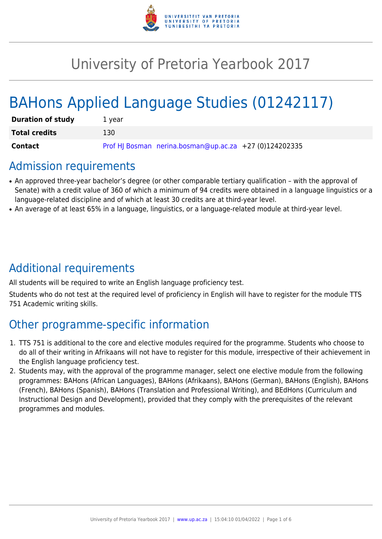

# University of Pretoria Yearbook 2017

# BAHons Applied Language Studies (01242117)

| <b>Duration of study</b> | 1 vear                                                 |
|--------------------------|--------------------------------------------------------|
| <b>Total credits</b>     | 130                                                    |
| Contact                  | Prof HJ Bosman nerina.bosman@up.ac.za +27 (0)124202335 |

# Admission requirements

- An approved three-year bachelor's degree (or other comparable tertiary qualification with the approval of Senate) with a credit value of 360 of which a minimum of 94 credits were obtained in a language linguistics or a language-related discipline and of which at least 30 credits are at third-year level.
- An average of at least 65% in a language, linguistics, or a language-related module at third-year level.

# Additional requirements

All students will be required to write an English language proficiency test.

Students who do not test at the required level of proficiency in English will have to register for the module TTS 751 Academic writing skills.

# Other programme-specific information

- 1. TTS 751 is additional to the core and elective modules required for the programme. Students who choose to do all of their writing in Afrikaans will not have to register for this module, irrespective of their achievement in the English language proficiency test.
- 2. Students may, with the approval of the programme manager, select one elective module from the following programmes: BAHons (African Languages), BAHons (Afrikaans), BAHons (German), BAHons (English), BAHons (French), BAHons (Spanish), BAHons (Translation and Professional Writing), and BEdHons (Curriculum and Instructional Design and Development), provided that they comply with the prerequisites of the relevant programmes and modules.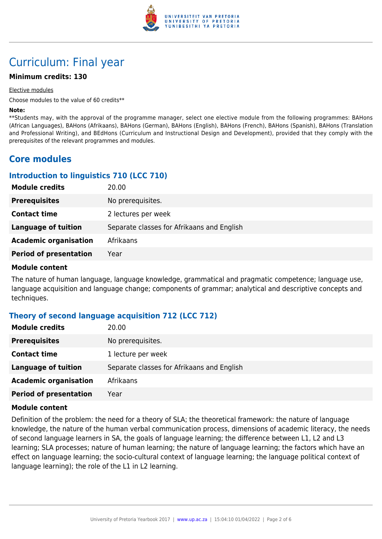

# Curriculum: Final year

# **Minimum credits: 130**

#### Elective modules

Choose modules to the value of 60 credits\*\*

#### **Note:**

\*\*Students may, with the approval of the programme manager, select one elective module from the following programmes: BAHons (African Languages), BAHons (Afrikaans), BAHons (German), BAHons (English), BAHons (French), BAHons (Spanish), BAHons (Translation and Professional Writing), and BEdHons (Curriculum and Instructional Design and Development), provided that they comply with the prerequisites of the relevant programmes and modules.

# **Core modules**

# **Introduction to linguistics 710 (LCC 710)**

| <b>Module credits</b>         | 20.00                                      |
|-------------------------------|--------------------------------------------|
| <b>Prerequisites</b>          | No prerequisites.                          |
| <b>Contact time</b>           | 2 lectures per week                        |
| <b>Language of tuition</b>    | Separate classes for Afrikaans and English |
| <b>Academic organisation</b>  | Afrikaans                                  |
| <b>Period of presentation</b> | Year                                       |

#### **Module content**

The nature of human language, language knowledge, grammatical and pragmatic competence; language use, language acquisition and language change; components of grammar; analytical and descriptive concepts and techniques.

## **Theory of second language acquisition 712 (LCC 712)**

| <b>Module credits</b>         | 20.00                                      |
|-------------------------------|--------------------------------------------|
| <b>Prerequisites</b>          | No prerequisites.                          |
| <b>Contact time</b>           | 1 lecture per week                         |
| <b>Language of tuition</b>    | Separate classes for Afrikaans and English |
| <b>Academic organisation</b>  | Afrikaans                                  |
| <b>Period of presentation</b> | Year                                       |

#### **Module content**

Definition of the problem: the need for a theory of SLA; the theoretical framework: the nature of language knowledge, the nature of the human verbal communication process, dimensions of academic literacy, the needs of second language learners in SA, the goals of language learning; the difference between L1, L2 and L3 learning; SLA processes; nature of human learning; the nature of language learning; the factors which have an effect on language learning; the socio-cultural context of language learning; the language political context of language learning); the role of the L1 in L2 learning.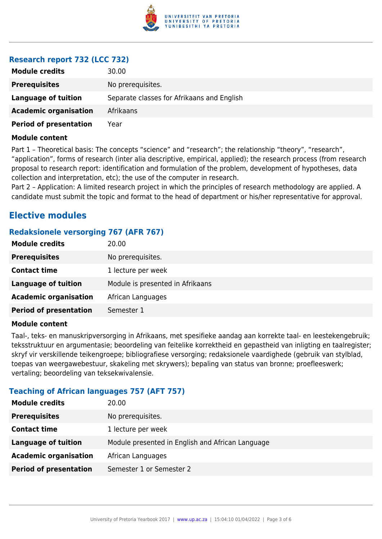

# **Research report 732 (LCC 732)**

| <b>Module credits</b>         | 30.00                                      |
|-------------------------------|--------------------------------------------|
| <b>Prerequisites</b>          | No prerequisites.                          |
| <b>Language of tuition</b>    | Separate classes for Afrikaans and English |
| <b>Academic organisation</b>  | Afrikaans                                  |
| <b>Period of presentation</b> | Year                                       |

#### **Module content**

Part 1 – Theoretical basis: The concepts "science" and "research"; the relationship "theory", "research", "application", forms of research (inter alia descriptive, empirical, applied); the research process (from research proposal to research report: identification and formulation of the problem, development of hypotheses, data collection and interpretation, etc); the use of the computer in research.

Part 2 – Application: A limited research project in which the principles of research methodology are applied. A candidate must submit the topic and format to the head of department or his/her representative for approval.

# **Elective modules**

# **Redaksionele versorging 767 (AFR 767)**

| <b>Module credits</b>         | 20.00                            |
|-------------------------------|----------------------------------|
| <b>Prerequisites</b>          | No prerequisites.                |
| <b>Contact time</b>           | 1 lecture per week               |
| <b>Language of tuition</b>    | Module is presented in Afrikaans |
| <b>Academic organisation</b>  | African Languages                |
| <b>Period of presentation</b> | Semester 1                       |

#### **Module content**

Taal-, teks- en manuskripversorging in Afrikaans, met spesifieke aandag aan korrekte taal- en leestekengebruik; teksstruktuur en argumentasie; beoordeling van feitelike korrektheid en gepastheid van inligting en taalregister; skryf vir verskillende teikengroepe; bibliografiese versorging; redaksionele vaardighede (gebruik van stylblad, toepas van weergawebestuur, skakeling met skrywers); bepaling van status van bronne; proefleeswerk; vertaling; beoordeling van teksekwivalensie.

# **Teaching of African languages 757 (AFT 757)**

| <b>Module credits</b>         | 20.00                                            |
|-------------------------------|--------------------------------------------------|
| <b>Prerequisites</b>          | No prerequisites.                                |
| <b>Contact time</b>           | 1 lecture per week                               |
| <b>Language of tuition</b>    | Module presented in English and African Language |
| <b>Academic organisation</b>  | African Languages                                |
| <b>Period of presentation</b> | Semester 1 or Semester 2                         |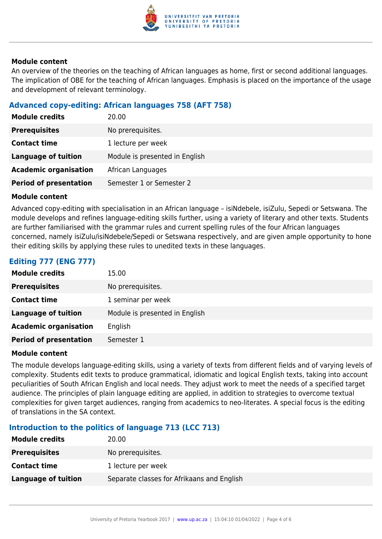

## **Module content**

An overview of the theories on the teaching of African languages as home, first or second additional languages. The implication of OBE for the teaching of African languages. Emphasis is placed on the importance of the usage and development of relevant terminology.

# **Advanced copy-editing: African languages 758 (AFT 758)**

| <b>Module credits</b>         | 20.00                          |
|-------------------------------|--------------------------------|
| <b>Prerequisites</b>          | No prerequisites.              |
| <b>Contact time</b>           | 1 lecture per week             |
| <b>Language of tuition</b>    | Module is presented in English |
| <b>Academic organisation</b>  | African Languages              |
| <b>Period of presentation</b> | Semester 1 or Semester 2       |

# **Module content**

Advanced copy-editing with specialisation in an African language – isiNdebele, isiZulu, Sepedi or Setswana. The module develops and refines language-editing skills further, using a variety of literary and other texts. Students are further familiarised with the grammar rules and current spelling rules of the four African languages concerned, namely isiZulu/isiNdebele/Sepedi or Setswana respectively, and are given ample opportunity to hone their editing skills by applying these rules to unedited texts in these languages.

# **Editing 777 (ENG 777)**

| <b>Module credits</b>         | 15.00                          |
|-------------------------------|--------------------------------|
| <b>Prerequisites</b>          | No prerequisites.              |
| <b>Contact time</b>           | 1 seminar per week             |
| <b>Language of tuition</b>    | Module is presented in English |
| <b>Academic organisation</b>  | English                        |
| <b>Period of presentation</b> | Semester 1                     |

## **Module content**

The module develops language-editing skills, using a variety of texts from different fields and of varying levels of complexity. Students edit texts to produce grammatical, idiomatic and logical English texts, taking into account peculiarities of South African English and local needs. They adjust work to meet the needs of a specified target audience. The principles of plain language editing are applied, in addition to strategies to overcome textual complexities for given target audiences, ranging from academics to neo-literates. A special focus is the editing of translations in the SA context.

# **Introduction to the politics of language 713 (LCC 713)**

| <b>Module credits</b>      | 20.00                                      |
|----------------------------|--------------------------------------------|
| <b>Prerequisites</b>       | No prerequisites.                          |
| <b>Contact time</b>        | 1 lecture per week                         |
| <b>Language of tuition</b> | Separate classes for Afrikaans and English |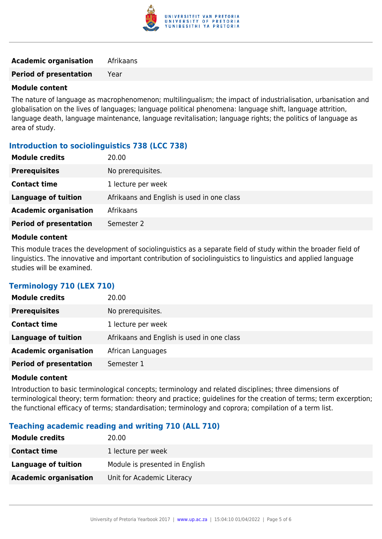

# **Academic organisation** Afrikaans

**Period of presentation** Year

#### **Module content**

The nature of language as macrophenomenon; multilingualism; the impact of industrialisation, urbanisation and globalisation on the lives of languages; language political phenomena: language shift, language attrition, language death, language maintenance, language revitalisation; language rights; the politics of language as area of study.

# **Introduction to sociolinguistics 738 (LCC 738)**

| <b>Module credits</b>         | 20.00                                      |
|-------------------------------|--------------------------------------------|
| <b>Prerequisites</b>          | No prerequisites.                          |
| <b>Contact time</b>           | 1 lecture per week                         |
| Language of tuition           | Afrikaans and English is used in one class |
| <b>Academic organisation</b>  | Afrikaans                                  |
| <b>Period of presentation</b> | Semester 2                                 |
|                               |                                            |

#### **Module content**

This module traces the development of sociolinguistics as a separate field of study within the broader field of linguistics. The innovative and important contribution of sociolinguistics to linguistics and applied language studies will be examined.

# **Terminology 710 (LEX 710)**

| <b>Module credits</b>         | 20.00                                      |
|-------------------------------|--------------------------------------------|
| <b>Prerequisites</b>          | No prerequisites.                          |
| <b>Contact time</b>           | 1 lecture per week                         |
| <b>Language of tuition</b>    | Afrikaans and English is used in one class |
| <b>Academic organisation</b>  | African Languages                          |
| <b>Period of presentation</b> | Semester 1                                 |

#### **Module content**

Introduction to basic terminological concepts; terminology and related disciplines; three dimensions of terminological theory; term formation: theory and practice; guidelines for the creation of terms; term excerption; the functional efficacy of terms; standardisation; terminology and coprora; compilation of a term list.

## **Teaching academic reading and writing 710 (ALL 710)**

| <b>Module credits</b>        | 20.00                          |
|------------------------------|--------------------------------|
| <b>Contact time</b>          | 1 lecture per week             |
| Language of tuition          | Module is presented in English |
| <b>Academic organisation</b> | Unit for Academic Literacy     |